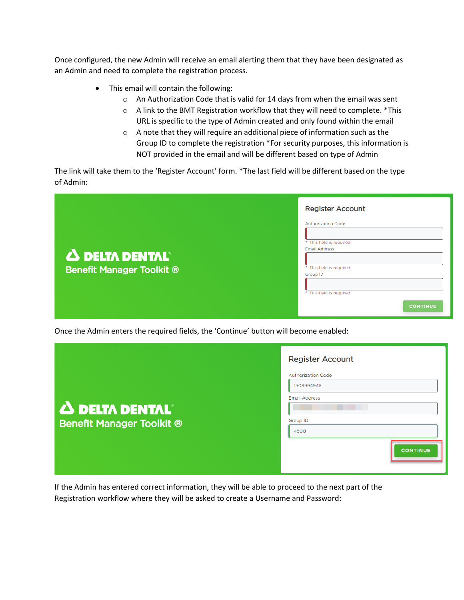Once configured, the new Admin will receive an email alerting them that they have been designated as an Admin and need to complete the registration process.

- This email will contain the following:
	- o An Authorization Code that is valid for 14 days from when the email was sent
	- o A link to the BMT Registration workflow that they will need to complete. \*This URL is specific to the type of Admin created and only found within the email
	- o A note that they will require an additional piece of information such as the Group ID to complete the registration \*For security purposes, this information is NOT provided in the email and will be different based on type of Admin

The link will take them to the 'Register Account' form. \*The last field will be different based on the type of Admin:

|                                                                      | <b>Register Account</b>                                                                                                                                       |
|----------------------------------------------------------------------|---------------------------------------------------------------------------------------------------------------------------------------------------------------|
| $\Delta$ delta dental $^{\circ}$<br><b>Benefit Manager Toolkit ®</b> | <b>Authorization Code</b><br>* This field is required<br>Email Address<br>* This field is required<br>Group ID<br>* This field is required<br><b>CONTINUE</b> |

Once the Admin enters the required fields, the 'Continue' button will become enabled:

|                                                           | <b>Register Account</b>                                                                                |
|-----------------------------------------------------------|--------------------------------------------------------------------------------------------------------|
| <b>A DELTA DENTAL</b><br><b>Benefit Manager Toolkit ®</b> | <b>Authorization Code</b><br>1508994945<br><b>Email Address</b><br>Group ID<br>4500<br><b>CONTINUE</b> |

If the Admin has entered correct information, they will be able to proceed to the next part of the Registration workflow where they will be asked to create a Username and Password: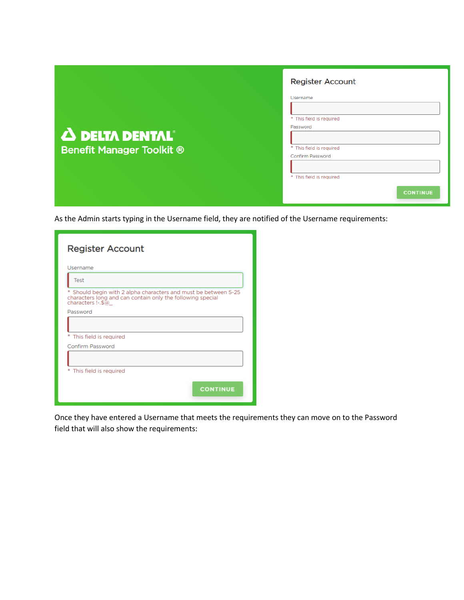|                                  | <b>Register Account</b>  |
|----------------------------------|--------------------------|
|                                  | Username                 |
|                                  |                          |
|                                  | * This field is required |
|                                  | Password                 |
| $\Delta$ delta dental $^{\circ}$ |                          |
| <b>Benefit Manager Toolkit ®</b> | * This field is required |
|                                  | Confirm Password         |
|                                  |                          |
|                                  | * This field is required |
|                                  | <b>CONTINUE</b>          |

As the Admin starts typing in the Username field, they are notified of the Username requirements:

| <b>Register Account</b>                                                                                                                               |  |  |
|-------------------------------------------------------------------------------------------------------------------------------------------------------|--|--|
| Username                                                                                                                                              |  |  |
| Test                                                                                                                                                  |  |  |
| *<br>Should begin with 2 alpha characters and must be between 5-25<br>characters long and can contain only the following special<br>characters !-.\$@ |  |  |
| Password                                                                                                                                              |  |  |
|                                                                                                                                                       |  |  |
| *<br>This field is required                                                                                                                           |  |  |
| Confirm Password                                                                                                                                      |  |  |
|                                                                                                                                                       |  |  |
| * This field is required                                                                                                                              |  |  |
| <b>CONTINUE</b>                                                                                                                                       |  |  |

Once they have entered a Username that meets the requirements they can move on to the Password field that will also show the requirements: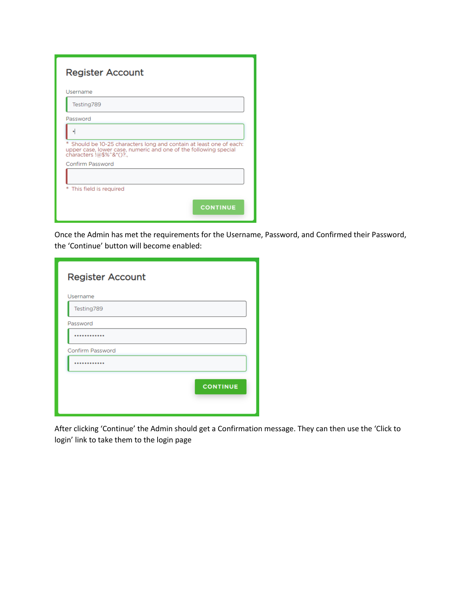| <b>Register Account</b>                                                                                                                                           |
|-------------------------------------------------------------------------------------------------------------------------------------------------------------------|
| Username                                                                                                                                                          |
| Testing789                                                                                                                                                        |
| Password                                                                                                                                                          |
|                                                                                                                                                                   |
| Should be 10-25 characters long and contain at least one of each:<br>upper case, lower case, numeric and one of the following special<br>characters !@\$%^&*()?., |
| Confirm Password                                                                                                                                                  |
|                                                                                                                                                                   |
| This field is required                                                                                                                                            |
| <b>CONTINUE</b>                                                                                                                                                   |

Once the Admin has met the requirements for the Username, Password, and Confirmed their Password, the 'Continue' button will become enabled:

| <b>Register Account</b> |                 |
|-------------------------|-----------------|
| Username                |                 |
| Testing789              |                 |
| Password                |                 |
|                         |                 |
| Confirm Password        |                 |
| .                       |                 |
|                         | <b>CONTINUE</b> |

After clicking 'Continue' the Admin should get a Confirmation message. They can then use the 'Click to login' link to take them to the login page